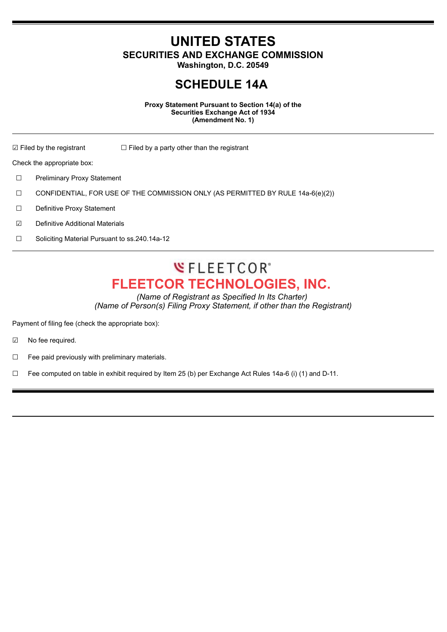**UNITED STATES SECURITIES AND EXCHANGE COMMISSION**

**Washington, D.C. 20549**

## **SCHEDULE 14A**

**Proxy Statement Pursuant to Section 14(a) of the Securities Exchange Act of 1934 (Amendment No. 1)**

 $\Box$  Filed by the registrant  $\Box$  Filed by a party other than the registrant

Check the appropriate box:

☐ Preliminary Proxy Statement

 $\Box$  CONFIDENTIAL, FOR USE OF THE COMMISSION ONLY (AS PERMITTED BY RULE 14a-6(e)(2))

☐ Definitive Proxy Statement

☑ Definitive Additional Materials

☐ Soliciting Material Pursuant to ss.240.14a-12

## **WFLEETCOR**<sup>\*</sup> **FLEETCOR TECHNOLOGIES, INC.**

*(Name of Registrant as Specified In Its Charter) (Name of Person(s) Filing Proxy Statement, if other than the Registrant)*

Payment of filing fee (check the appropriate box):

☑ No fee required.

☐ Fee paid previously with preliminary materials.

☐ Fee computed on table in exhibit required by Item 25 (b) per Exchange Act Rules 14a-6 (i) (1) and D-11.